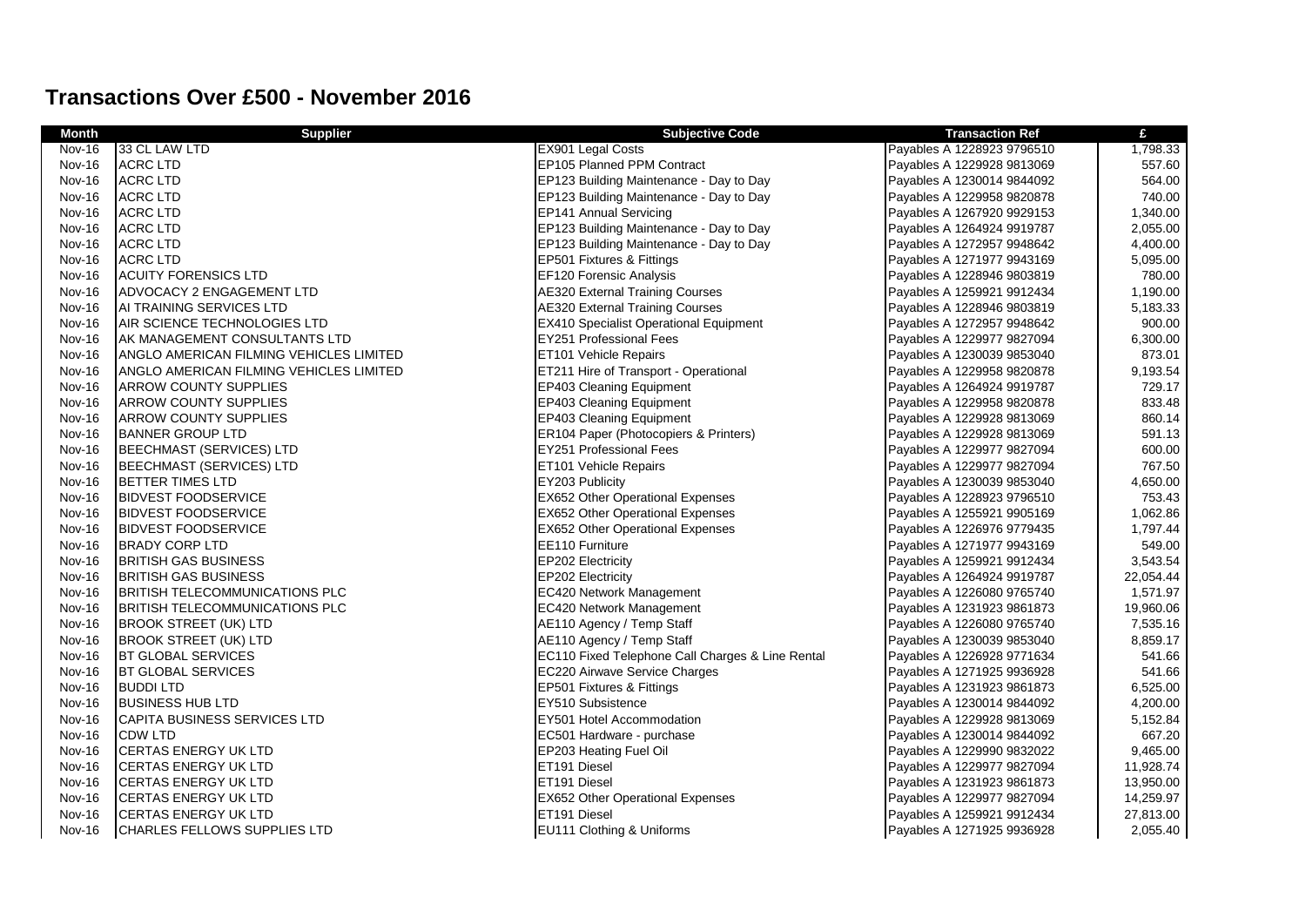## **Transactions Over £500 - November 2016**

| Month         | <b>Supplier</b>                         | <b>Subjective Code</b>                           | <b>Transaction Ref</b>     | £         |
|---------------|-----------------------------------------|--------------------------------------------------|----------------------------|-----------|
| <b>Nov-16</b> | 33 CL LAW LTD                           | EX901 Legal Costs                                | Payables A 1228923 9796510 | 1,798.33  |
| <b>Nov-16</b> | <b>ACRC LTD</b>                         | EP105 Planned PPM Contract                       | Payables A 1229928 9813069 | 557.60    |
| <b>Nov-16</b> | <b>ACRC LTD</b>                         | EP123 Building Maintenance - Day to Day          | Payables A 1230014 9844092 | 564.00    |
| Nov-16        | <b>ACRC LTD</b>                         | EP123 Building Maintenance - Day to Day          | Payables A 1229958 9820878 | 740.00    |
| <b>Nov-16</b> | <b>ACRC LTD</b>                         | <b>EP141 Annual Servicing</b>                    | Payables A 1267920 9929153 | 1,340.00  |
| <b>Nov-16</b> | <b>ACRC LTD</b>                         | EP123 Building Maintenance - Day to Day          | Payables A 1264924 9919787 | 2,055.00  |
| <b>Nov-16</b> | <b>ACRC LTD</b>                         | EP123 Building Maintenance - Day to Day          | Payables A 1272957 9948642 | 4,400.00  |
| <b>Nov-16</b> | <b>ACRC LTD</b>                         | EP501 Fixtures & Fittings                        | Payables A 1271977 9943169 | 5,095.00  |
| <b>Nov-16</b> | <b>ACUITY FORENSICS LTD</b>             | EF120 Forensic Analysis                          | Payables A 1228946 9803819 | 780.00    |
| <b>Nov-16</b> | ADVOCACY 2 ENGAGEMENT LTD               | <b>AE320 External Training Courses</b>           | Payables A 1259921 9912434 | 1,190.00  |
| Nov-16        | AI TRAINING SERVICES LTD                | <b>AE320 External Training Courses</b>           | Payables A 1228946 9803819 | 5,183.33  |
| Nov-16        | <b>AIR SCIENCE TECHNOLOGIES LTD</b>     | <b>EX410 Specialist Operational Equipment</b>    | Payables A 1272957 9948642 | 900.00    |
| <b>Nov-16</b> | AK MANAGEMENT CONSULTANTS LTD           | EY251 Professional Fees                          | Payables A 1229977 9827094 | 6,300.00  |
| Nov-16        | ANGLO AMERICAN FILMING VEHICLES LIMITED | ET101 Vehicle Repairs                            | Payables A 1230039 9853040 | 873.01    |
| <b>Nov-16</b> | ANGLO AMERICAN FILMING VEHICLES LIMITED | ET211 Hire of Transport - Operational            | Payables A 1229958 9820878 | 9,193.54  |
| <b>Nov-16</b> | ARROW COUNTY SUPPLIES                   | EP403 Cleaning Equipment                         | Payables A 1264924 9919787 | 729.17    |
| Nov-16        | <b>ARROW COUNTY SUPPLIES</b>            | EP403 Cleaning Equipment                         | Payables A 1229958 9820878 | 833.48    |
| <b>Nov-16</b> | <b>ARROW COUNTY SUPPLIES</b>            | EP403 Cleaning Equipment                         | Payables A 1229928 9813069 | 860.14    |
| <b>Nov-16</b> | <b>BANNER GROUP LTD</b>                 | ER104 Paper (Photocopiers & Printers)            | Payables A 1229928 9813069 | 591.13    |
| Nov-16        | <b>BEECHMAST (SERVICES) LTD</b>         | <b>EY251 Professional Fees</b>                   | Payables A 1229977 9827094 | 600.00    |
| <b>Nov-16</b> | <b>BEECHMAST (SERVICES) LTD</b>         | ET101 Vehicle Repairs                            | Payables A 1229977 9827094 | 767.50    |
| <b>Nov-16</b> | <b>BETTER TIMES LTD</b>                 | EY203 Publicity                                  | Payables A 1230039 9853040 | 4,650.00  |
| <b>Nov-16</b> | <b>BIDVEST FOODSERVICE</b>              | EX652 Other Operational Expenses                 | Payables A 1228923 9796510 | 753.43    |
| <b>Nov-16</b> | <b>BIDVEST FOODSERVICE</b>              | EX652 Other Operational Expenses                 | Payables A 1255921 9905169 | 1,062.86  |
| <b>Nov-16</b> | <b>BIDVEST FOODSERVICE</b>              | EX652 Other Operational Expenses                 | Payables A 1226976 9779435 | 1,797.44  |
| <b>Nov-16</b> | <b>BRADY CORP LTD</b>                   | EE110 Furniture                                  | Payables A 1271977 9943169 | 549.00    |
| <b>Nov-16</b> | <b>BRITISH GAS BUSINESS</b>             | EP202 Electricity                                | Payables A 1259921 9912434 | 3,543.54  |
| <b>Nov-16</b> | <b>BRITISH GAS BUSINESS</b>             | EP202 Electricity                                | Payables A 1264924 9919787 | 22,054.44 |
| <b>Nov-16</b> | <b>BRITISH TELECOMMUNICATIONS PLC</b>   | <b>EC420 Network Management</b>                  | Payables A 1226080 9765740 | 1,571.97  |
| <b>Nov-16</b> | <b>BRITISH TELECOMMUNICATIONS PLC</b>   | EC420 Network Management                         | Payables A 1231923 9861873 | 19,960.06 |
| <b>Nov-16</b> | <b>BROOK STREET (UK) LTD</b>            | AE110 Agency / Temp Staff                        | Payables A 1226080 9765740 | 7,535.16  |
| <b>Nov-16</b> | <b>BROOK STREET (UK) LTD</b>            | AE110 Agency / Temp Staff                        | Payables A 1230039 9853040 | 8,859.17  |
| <b>Nov-16</b> | <b>BT GLOBAL SERVICES</b>               | EC110 Fixed Telephone Call Charges & Line Rental | Payables A 1226928 9771634 | 541.66    |
| Nov-16        | <b>BT GLOBAL SERVICES</b>               | EC220 Airwave Service Charges                    | Payables A 1271925 9936928 | 541.66    |
| <b>Nov-16</b> | <b>BUDDILTD</b>                         | EP501 Fixtures & Fittings                        | Payables A 1231923 9861873 | 6,525.00  |
| <b>Nov-16</b> | <b>BUSINESS HUB LTD</b>                 | EY510 Subsistence                                | Payables A 1230014 9844092 | 4,200.00  |
| <b>Nov-16</b> | CAPITA BUSINESS SERVICES LTD            | EY501 Hotel Accommodation                        | Payables A 1229928 9813069 | 5,152.84  |
| <b>Nov-16</b> | <b>CDW LTD</b>                          | EC501 Hardware - purchase                        | Payables A 1230014 9844092 | 667.20    |
| <b>Nov-16</b> | CERTAS ENERGY UK LTD                    | EP203 Heating Fuel Oil                           | Payables A 1229990 9832022 | 9,465.00  |
| Nov-16        | <b>CERTAS ENERGY UK LTD</b>             | ET191 Diesel                                     | Payables A 1229977 9827094 | 11,928.74 |
| <b>Nov-16</b> | <b>CERTAS ENERGY UK LTD</b>             | ET191 Diesel                                     | Payables A 1231923 9861873 | 13,950.00 |
| <b>Nov-16</b> | <b>ICERTAS ENERGY UK LTD</b>            | <b>EX652 Other Operational Expenses</b>          | Payables A 1229977 9827094 | 14,259.97 |
| <b>Nov-16</b> | <b>CERTAS ENERGY UK LTD</b>             | ET191 Diesel                                     | Payables A 1259921 9912434 | 27,813.00 |
| <b>Nov-16</b> | <b> CHARLES FELLOWS SUPPLIES LTD</b>    | <b>EU111 Clothing &amp; Uniforms</b>             | Payables A 1271925 9936928 | 2,055.40  |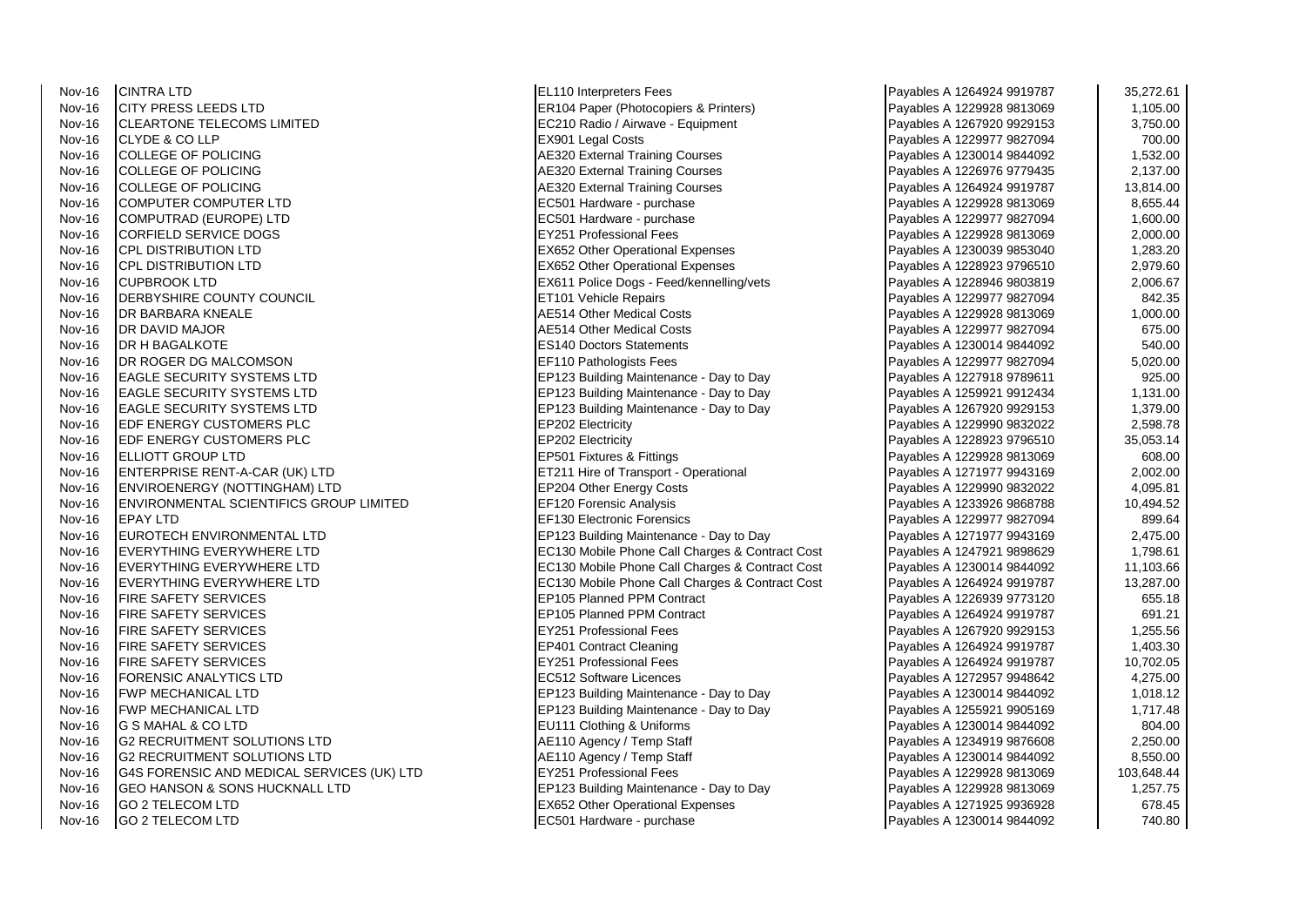Nov-16 CINTRA LTD EL110 Interpreters Fees Payables A 1264924 9919787 35,272.61 Nov-16 CITY PRESS LEEDS LTD<br>Nov-16 CI FARTONE TFI FCOMS I IMITED SAND RESERVED BOOK Radio / Airwave - Equipment Nov-16 CLYDE & CO LLP EX901 Legal Costs Payables A 1229977 9827094 700.00 Nov-16 COLLEGE OF POLICING AE320 External Training Courses Payable 10 and AE320 External Training Courses Payables A 12300 External Training Courses Nov-16 COLLEGE OF POLICING AE320 External Training Courses Nov-16 COLLEGE OF POLICING AE320 External Training Courses Nov-16 COMPUTER COMPUTER LTD EC501 Hardware - purchase Payable Resource A 1229928 99929 8929929 9813069 89299<br>Nov-16 COMPUTRAD (EUROPE) LTD COMPUTRAD (EUROPE) LTD Nov-16 CORFIELD SERVICE DOGS EXAMPLE A 12209 251 Professional Fees Nov-16 CPL DISTRIBUTION LTD **EX652** Other Operational Expenses Nov-16 CPL DISTRIBUTION LTD EX652 Other Operational Expenses Payables A 122892 979652 9796811 Police Dogs - Feed/kennellin Nov-16 CUPBROOK LTD<br>Nov-16 DERBYSHIRE COUNTY COUNCIL COUNCERTY A 1228-11 Police Dogs - Feed/kennelling/vets DERBYSHIRE COUNTY COUNCIL Nov-16 DR BARBARA KNEALE AE514 Other Medical Costs Payables A 1229928 9813069 1,000.00 Nov-16 NDR DAVID MAJOR NAJOR ALL DAVID MAJOR AND STOLOGIC ALL DATA CHORE MEDICAL COSTS A RESTANDING ONLY A LAT A LAT A LAT ANNO 1975.00 Nov-16 DR H BAGALKOTE **ESS** 100 DOCTORS Statements **Payable Statements** Payable Statements **Payable Statements** Nov-16 DR ROGER DG MALCOMSON EF110 Pathologists Fees<br>Nov-16 EAGLE SECURITY SYSTEMS LTD EP123 Building Maintenar Nov-16 EAGLE SECURITY SYSTEMS LTD EXAMPLE PHOTOS Building Maintenance - Day to Dav Nov-16 FAGLE SECURITY SYSTEMS LTD EXAMPLE THE SAME REPLACE IS A 1267920 9929163 1,479.000 9929153 1,479.000 99 Nov-16 EDF ENERGY CUSTOMERS PLC EP202 Electricity Nov-16 EDF ENERGY CUSTOMERS PLC<br>Nov-16 ELLIOTT GROUP LTD Nov-16 ELLIOTT GROUP LTD EP501 Fixtures & Fittings Nov-16 ENTERPRISE RENT-A-CAR (UK) LTD ET211 Hire of Transport - Operational Nov-16 **ENVIROENERGY (NOTTINGHAM) LTD** EP204 Other Energy Costs Nov-16 ENVIRONMENTAL SCIENTIFICS GROUP LIMITED EF120 Forensic Analysis Nov-16 EPAY LTD<br>Nov-16 EUROTECH ENVIRONMENTAL LTD Nov-16 EP123 Building Maintenance Nov-16 EUROTECH ENVIRONMENTAL LTD EP123 Building Maintenance - Day to Day Nov-16 EVERYTHING EVERYWHERE LTD EC130 Mobile Phone Call Charges & Contract Cost Payables A 12479 1, 2017921 9<br>Rov-16 RVERYTHING EVERYWHERE LTD EC130 Mobile Phone Call Charges & Contract Cost Nov-16 EVERYTHING EVERYWHERE LTD EXAMPLE RELIGION SECTED SECTED RELIGION Mobile Phone Call Charges & Contract Cost Nov-16 FIRE SAFETY SERVICES EPOS PLANNING PAYABLE PAYABLES Planned PPM Contract Nov-16 FIRE SAFETY SERVICES EP105 Planned PPM Contract Nov-16 FIRE SAFETY SERVICES EXAMPLE A 12679251 Professional Fees Nov-16 FIRE SAFETY SERVICES EP401 Contract Cleaning Nov-16 FIRE SAFETY SERVICES EXAMPLE TO A 1264 127251 Professional Fees<br>Nov-16 FORENSIC ANALYTICS LTD Nov-16 **FORENSIC ANALYTICS LTD** Nov-16 **FWP MECHANICAL LTD** EP123 Building Maintenance - Day to Day Nov-16 FWP MECHANICAL LTD **EP123 Building Maintenance - Day to Day** Payable Maintenance - Day to Day Payables A 1<br>Payable Reserved A 1255 1,717.48 1,817.48 1,817.48 1,817.48 1,817.48 1,817.48 1,817.48 1,817.48 1,817.48 1,8 Nov-16 G2 RECRUITMENT SOLUTIONS LTD AE110 Agency / Temp Staff Nov-16 **G2 RECRUITMENT SOLUTIONS LTD** And Agency / Temp Staff Payables A 1230014 98440 Nov-16 G4S FORENSIC AND MEDICAL SERVICES (UK) LTD EX251 Professional Fees Nov-16 GEO HANSON & SONS HUCKNALL LTD EP123 Building Maintenance - Day to Day Nov-16 GO 2 TELECOM LTD **EX652** Other Operational Expenses Nov-16 GO 2 TELECOM LTD EC501 Hardware - purchase Payables A 1230014 9844092 740.80014 9844092 740.80014 98440

**EC210 Radio / Airwave - Equipment** EP123 Building Maintenance - Day to Day **EC130 Mobile Phone Call Charges & Contract Cost Payable** EU111 Clothing & Uniforms

| Payables A 1264924 9919787                               | 35,272.61          |
|----------------------------------------------------------|--------------------|
| Payables A 1229928 9813069                               | 1,105.00           |
| Payables A 1267920 9929153                               | 3,750.00           |
| Payables A 1229977 9827094                               | 700.00             |
| Payables A 1230014 9844092                               | 1,532.00           |
| Payables A 1226976 9779435                               | 2,137.00           |
| Payables A 1264924 9919787                               | 13,814.00          |
| Payables A 1229928 9813069                               | 8,655.44           |
| Payables A 1229977 9827094                               | 1,600.00           |
| Payables A 1229928 9813069                               | 2,000.00           |
| Payables A 1230039 9853040                               | 1,283.20           |
| Payables A 1228923 9796510                               | 2,979.60           |
| Payables A 1228946 9803819                               | 2,006.67           |
| Payables A 1229977 9827094                               | 842.35             |
| Payables A 1229928 9813069                               | 1,000.00           |
| Payables A 1229977 9827094                               | 675.00             |
| Payables A 1230014 9844092                               | 540.00             |
| Payables A 1229977 9827094                               | 5,020.00           |
| Payables A 1227918 9789611                               | 925.00             |
| Payables A 1259921 9912434                               | 1,131.00           |
| Payables A 1267920 9929153                               | 1,379.00           |
| Payables A 1229990 9832022                               | 2,598.78           |
| Payables A 1228923 9796510                               | 35,053.14          |
| Payables A 1229928 9813069<br>Payables A 1271977 9943169 | 608.00<br>2,002.00 |
| Payables A 1229990 9832022                               | 4,095.81           |
| Payables A 1233926 9868788                               | 10,494.52          |
| Payables A 1229977 9827094                               | 899.64             |
| Payables A 1271977 9943169                               | 2,475.00           |
| Payables A 1247921 9898629                               | 1,798.61           |
| Payables A 1230014 9844092                               | 11,103.66          |
| Payables A 1264924 9919787                               | 13,287.00          |
| Payables A 1226939 9773120                               | 655.18             |
| Payables A 1264924 9919787                               | 691.21             |
| Payables A 1267920 9929153                               | 1,255.56           |
| Payables A 1264924 9919787                               | 1,403.30           |
| Payables A 1264924 9919787                               | 10,702.05          |
| Payables A 1272957 9948642                               | 4,275.00           |
| Payables A 1230014 9844092                               | 1,018.12           |
| Payables A 1255921 9905169                               | 1,717.48           |
| Payables A 1230014 9844092                               | 804.00             |
| Payables A 1234919 9876608                               | 2,250.00           |
| Payables A 1230014 9844092                               | 8,550.00           |
| Payables A 1229928 9813069                               | 103,648.44         |
| Payables A 1229928 9813069                               | 1,257.75           |
| Payables A 1271925 9936928                               | 678.45             |
| Payables A 1230014 9844092                               | 740.80             |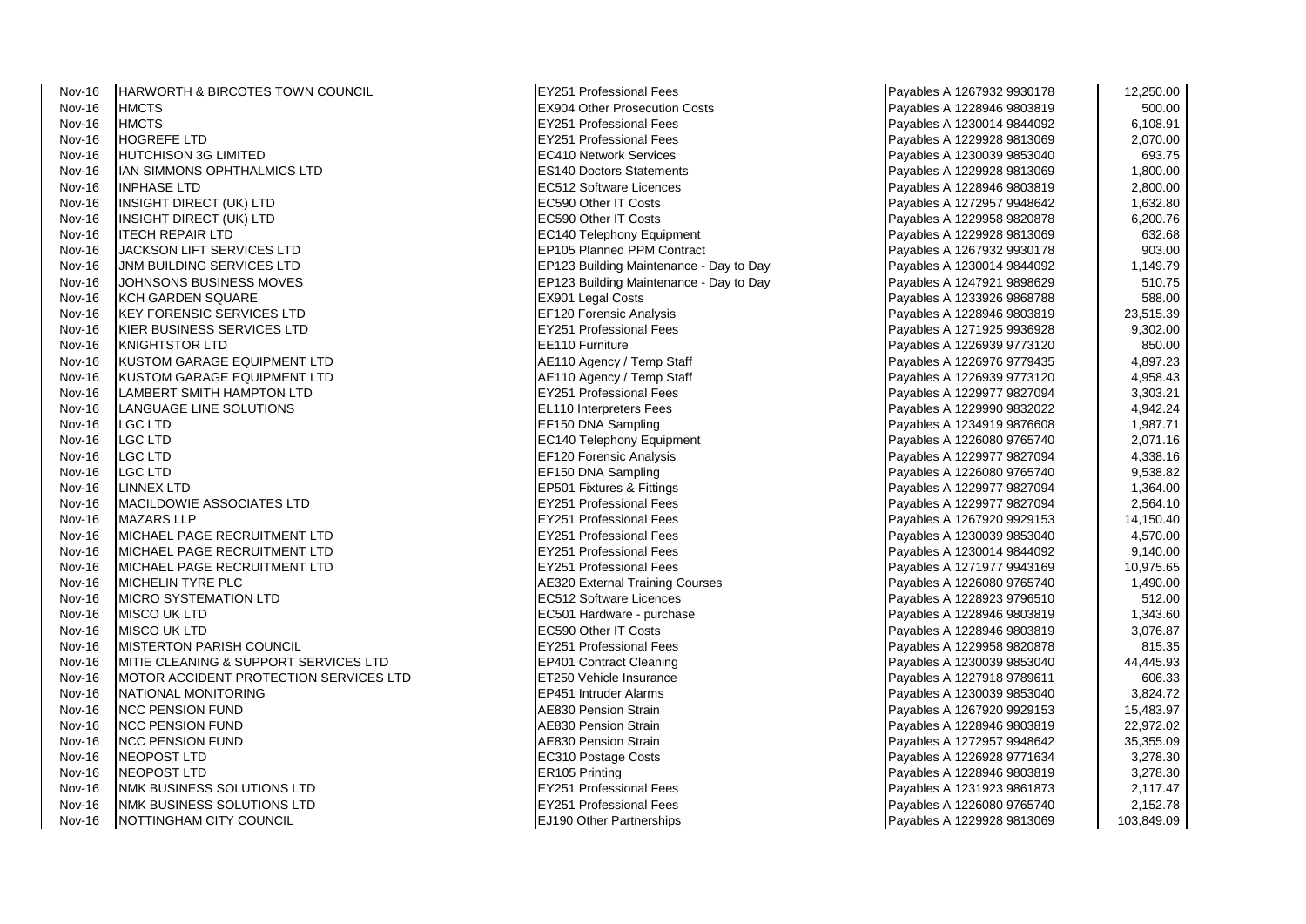Nov-16 HARWORTH & BIRCOTES TOWN COUNCIL THE RESEARCH REPORT RESEARCH PROFESSIONAL FEED PAYABLES Nov-16 HMCTS Nov-16 HMCTS EX904 Other Prosecution Costs Payables A 122894 Other Prosecution Costs Payables A 122894 Other Prosecution Costs Payables A 122894 Other Prosecution Costs Nov-16 |HMCTS |EY251 Professional Fees 6,108.91 Nov-16 HOGREFE LTD EY251 Professional Fees Payables A 1229928 9813069 2,070.00 Nov-16 HUTCHISON 3G LIMITED **EXAMPLE 2018 1230039 9983039 99830** FC410 Network Services Nov-16 |IAN SIMMONS OPHTHALMICS LTD<br>Nov-16 |INPHASE LTD | EC512 Software Licences Nov-16 INPHASE LTD EC512 Software Licences Payables A 1228946 9803819 2,800.00 Nov-16 INSIGHT DIRECT (UK) LTD<br>Nov-16 INSIGHT DIRECT (IJK) I TD Nov-16 |INSIGHT DIRECT (UK) LTD Nov-16 ITECH REPAIR LTD<br>Nov-16 IJACKSON LIFT SERVICES LTD EXAMPLE PAYABLES A 1229928 9992929 1229928 9813069 632.682.689 Nov-16 JACKSON LIFT SERVICES LTD Nov-16 JNM BUILDING SERVICES LTD **EP123 Building Maintenance - Day to Day**<br>Nov-16 JOHNSONS BUSINESS MOVES **Payable Service A 1230014 1,149.79** 1,149.79 Building Maintenance - Day to Day Nov-16 JOHNSONS BUSINESS MOVES EP123 Building Maintenance - Day to Day Payables A 1247921 9898629 510.75 Nov-16 KCH GARDEN SQUARE EX901 Legal Costs Payables A 1233926 9868788 588.00 Nov-16 KEY FORENSIC SERVICES LTD<br>Nov-16 KIFR BUSINESS SERVICES LTD EXAMPLE TO THE PAYABLE PROfessional Fees KIER BUSINESS SERVICES LTD Nov-16 KNIGHTSTOR LTD EE110 Furniture Payables A 1226939 9773120 850.00 Nov-16 KUSTOM GARAGE EQUIPMENT LTD<br>Nov-16 KUSTOM GARAGE EQUIPMENT LTD AGENCY Temp Staff Payables A 2020 KUSTOM GARAGE EQUIPMENT LTD Nov-16 | LAMBERT SMITH HAMPTON LTD | EY251 Professional Fees Payable 11 | EY251 Professional Fees Page 14.0 | Interpreters Fees Page 14.0 | Interpreters Fees Page 14.021 | Interpreters Fees Page 14.0 | Interpreters Fees | Nov-16 LANGUAGE LINE SOLUTIONS Nov-16 LGC LTD EF150 DNA Sampling Payables A 1234919 9876608 1,987.71 Nov-16 LGC LTD EC140 Telephony Equipment<br>Nov-16 LGC LTD Energy A 12260 9765740 2,071.16 Payables A 12260 9765740 2,071.16 Payables A 12260 9765740 976 Nov-16 LGC LTD EF120 Forensic Analysis Payables A 1229 Forensic Analysis Payables A 1229 Forensic Analysis Nov-16 |LGC LTD |EF150 DNA Sampling Payables A 1226080 9765740 | 9,538.82 Nov-16 **LINNEX LTD** EP501 Fixtures & Fittings **Payable Payable Payable Payable Payables A 122997** Nov-16 MACILDOWIE ASSOCIATES LTD EX251 Professional Fees Nov-16 MAZARS LLP EY251 Professional Fees Payables A 1267920 9929153 14,150.40 Nov-16 MICHAEL PAGE RECRUITMENT LTD EX251 Professional Fees Nov-16 MICHAEL PAGE RECRUITMENT LTD<br>Nov-16 MICHAEL PAGE RECRUITMENT LTD EX251 Professional Fees Nov-16 MICHAEL PAGE RECRUITMENT LTD Nov-16 MICHELIN TYRE PLC AE320 External Training Courses Payables A 12260 9765740 1,490.000 1,490.000 9765740 1,490.0000 1,490.000 1,490.000 1,490.000 1,490.000 1,490.000 1,490.000 1,490.000 1,490.000 1,490.000 1,490.000 1 Nov-16 MICRO SYSTEMATION LTD EC512 Software Licences Nov-16 MISCO UK LTD **ECS01** Hardware - purchase Payables A 122894 9803819 1,343.6004 1,343.6004 1,343.6004 1,343.600 Nov-16 MISCO UK LTD EC590 Other IT Costs Payables A 1228946 9803819 3,076.87 Nov-16 MISTERTON PARISH COUNCIL EXAMPLE TO A 1229-251 Professional Fees Nov-16 MITIE CLEANING & SUPPORT SERVICES LTD EP401 Contract Cleaning Nov-16 MOTOR ACCIDENT PROTECTION SERVICES LTD ET250 Vehicle Insurance Nov-16 NATIONAL MONITORING EP451 Intruder Alarms Payables A 1230039 98530 98630 98730 98730 98730 98730 98730 9 Nov-16 NCC PENSION FUND AE83.97 AE830 Pension Strain Payables A 1267920 9929153 15,483.97 Nov-16 NCC PENSION FUND ALL 22,972.02 Nov-16 Nov-16 Nov-16 Nov-16 Nov-16 Nov-16 Nov-16 Nov-16 Nov-16 Nov-16 No Nov-16 NCC PENSION FUND AE830 Pension Strain Payables A 1272957 9948642 35,355.09 Nov-16 Nov-16 Nov-16 Nov-16 Nov-16 NEOPOST LTD EC310 Postage Costs Payables A 1226928 9771634 3,278.30 Nov-16 NEOPOST LTD ER105 Printing Payables A 1228946 9803819 3,278.30 Nov-16 NMK BUSINESS SOLUTIONS LTD EX251 Professional Fees Nov-16 NMK BUSINESS SOLUTIONS LTD EX251 Professional Fees Nov-16 **NOTTINGHAM CITY COUNCIL EJ190 Other Partnerships** 

| Payables A 1267932 9930178 | 12,250.00  |
|----------------------------|------------|
| Payables A 1228946 9803819 | 500.00     |
| Payables A 1230014 9844092 | 6,108.91   |
| Payables A 1229928 9813069 | 2,070.00   |
| Payables A 1230039 9853040 | 693.75     |
| Payables A 1229928 9813069 | 1,800.00   |
| Payables A 1228946 9803819 | 2,800.00   |
| Payables A 1272957 9948642 | 1,632.80   |
| Payables A 1229958 9820878 | 6,200.76   |
| Payables A 1229928 9813069 | 632.68     |
| Payables A 1267932 9930178 | 903.00     |
| Payables A 1230014 9844092 | 1,149.79   |
| Payables A 1247921 9898629 | 510.75     |
| Payables A 1233926 9868788 | 588.00     |
| Payables A 1228946 9803819 | 23,515.39  |
| Payables A 1271925 9936928 | 9,302.00   |
| Payables A 1226939 9773120 | 850.00     |
| Payables A 1226976 9779435 | 4,897.23   |
| Payables A 1226939 9773120 | 4,958.43   |
| Payables A 1229977 9827094 | 3,303.21   |
| Payables A 1229990 9832022 | 4,942.24   |
| Payables A 1234919 9876608 | 1,987.71   |
| Payables A 1226080 9765740 | 2,071.16   |
| Payables A 1229977 9827094 | 4,338.16   |
| Payables A 1226080 9765740 | 9,538.82   |
| Payables A 1229977 9827094 | 1,364.00   |
| Payables A 1229977 9827094 | 2,564.10   |
| Payables A 1267920 9929153 | 14,150.40  |
| Payables A 1230039 9853040 | 4,570.00   |
| Payables A 1230014 9844092 | 9,140.00   |
| Payables A 1271977 9943169 | 10,975.65  |
| Payables A 1226080 9765740 | 1,490.00   |
| Payables A 1228923 9796510 | 512.00     |
| Payables A 1228946 9803819 | 1,343.60   |
| Payables A 1228946 9803819 | 3,076.87   |
| Payables A 1229958 9820878 | 815.35     |
| Payables A 1230039 9853040 | 44,445.93  |
| Payables A 1227918 9789611 | 606.33     |
| Payables A 1230039 9853040 | 3,824.72   |
| Payables A 1267920 9929153 | 15,483.97  |
| Payables A 1228946 9803819 | 22,972.02  |
| Payables A 1272957 9948642 | 35,355.09  |
| Payables A 1226928 9771634 | 3,278.30   |
| Payables A 1228946 9803819 | 3,278.30   |
| Payables A 1231923 9861873 | 2,117.47   |
| Payables A 1226080 9765740 | 2,152.78   |
| Pavables A 1229928 9813069 | 103.849.09 |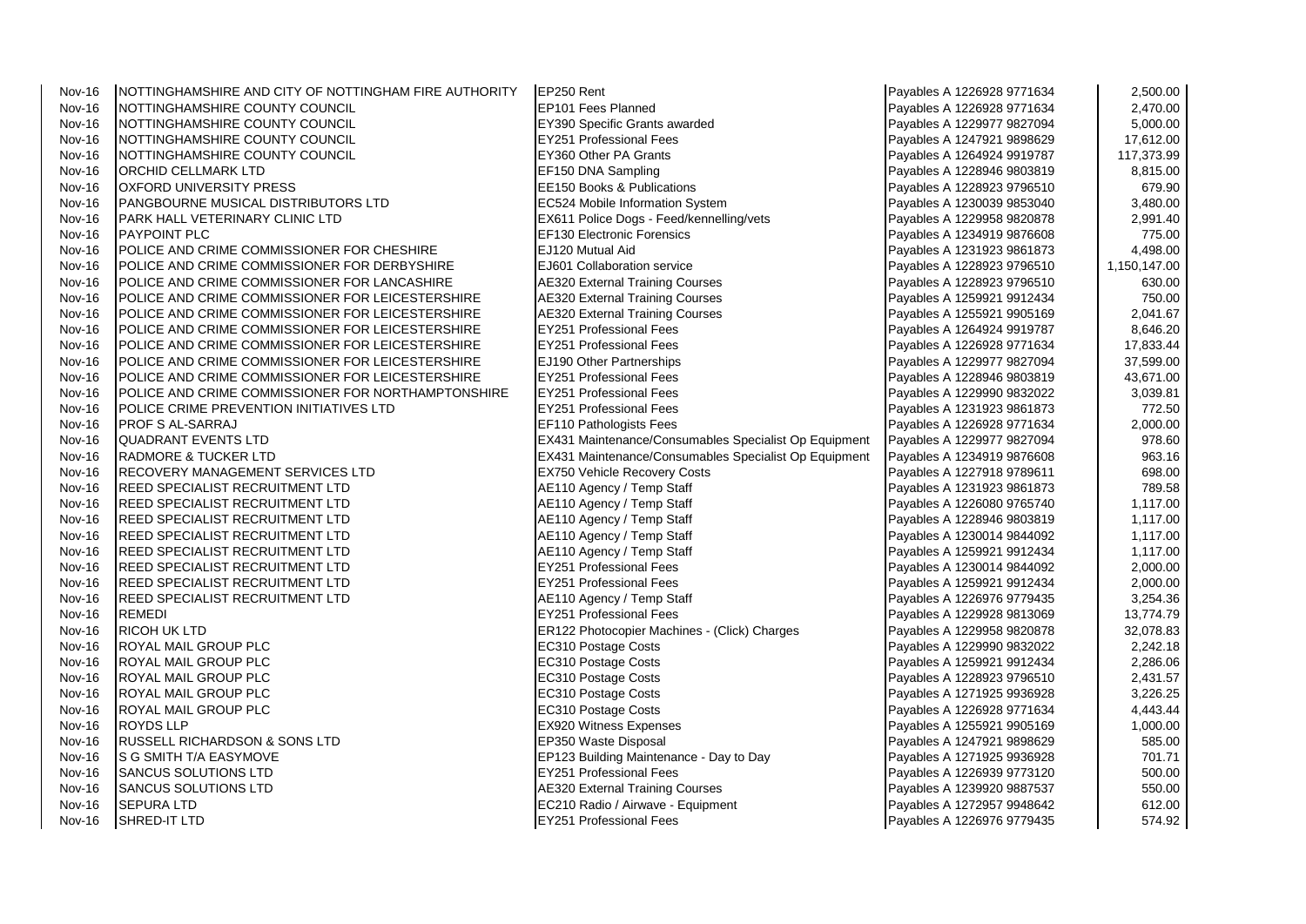| <b>Nov-16</b> | NOTTINGHAMSHIRE AND CITY OF NOTTINGHAM FIRE AUTHORITY | EP250 Rent                                            | Payables A 1226928 9771634 | 2,500.00     |
|---------------|-------------------------------------------------------|-------------------------------------------------------|----------------------------|--------------|
| <b>Nov-16</b> | NOTTINGHAMSHIRE COUNTY COUNCIL                        | EP101 Fees Planned                                    | Payables A 1226928 9771634 | 2,470.00     |
| <b>Nov-16</b> | NOTTINGHAMSHIRE COUNTY COUNCIL                        | <b>EY390 Specific Grants awarded</b>                  | Payables A 1229977 9827094 | 5,000.00     |
| <b>Nov-16</b> | NOTTINGHAMSHIRE COUNTY COUNCIL                        | <b>EY251 Professional Fees</b>                        | Payables A 1247921 9898629 | 17,612.00    |
| <b>Nov-16</b> | NOTTINGHAMSHIRE COUNTY COUNCIL                        | EY360 Other PA Grants                                 | Payables A 1264924 9919787 | 117,373.99   |
| <b>Nov-16</b> | <b>ORCHID CELLMARK LTD</b>                            | EF150 DNA Sampling                                    | Payables A 1228946 9803819 | 8,815.00     |
| <b>Nov-16</b> | <b>OXFORD UNIVERSITY PRESS</b>                        | EE150 Books & Publications                            | Payables A 1228923 9796510 | 679.90       |
| <b>Nov-16</b> | PANGBOURNE MUSICAL DISTRIBUTORS LTD                   | EC524 Mobile Information System                       | Payables A 1230039 9853040 | 3,480.00     |
| Nov-16        | PARK HALL VETERINARY CLINIC LTD                       | EX611 Police Dogs - Feed/kennelling/vets              | Payables A 1229958 9820878 | 2,991.40     |
| Nov-16        | PAYPOINT PLC                                          | <b>EF130 Electronic Forensics</b>                     | Payables A 1234919 9876608 | 775.00       |
| <b>Nov-16</b> | POLICE AND CRIME COMMISSIONER FOR CHESHIRE            | EJ120 Mutual Aid                                      | Payables A 1231923 9861873 | 4,498.00     |
| <b>Nov-16</b> | POLICE AND CRIME COMMISSIONER FOR DERBYSHIRE          | EJ601 Collaboration service                           | Payables A 1228923 9796510 | 1,150,147.00 |
| <b>Nov-16</b> | POLICE AND CRIME COMMISSIONER FOR LANCASHIRE          | <b>AE320 External Training Courses</b>                | Payables A 1228923 9796510 | 630.00       |
| <b>Nov-16</b> | POLICE AND CRIME COMMISSIONER FOR LEICESTERSHIRE      | <b>AE320 External Training Courses</b>                | Payables A 1259921 9912434 | 750.00       |
| <b>Nov-16</b> | POLICE AND CRIME COMMISSIONER FOR LEICESTERSHIRE      | <b>AE320 External Training Courses</b>                | Payables A 1255921 9905169 | 2,041.67     |
| <b>Nov-16</b> | POLICE AND CRIME COMMISSIONER FOR LEICESTERSHIRE      | <b>EY251 Professional Fees</b>                        | Payables A 1264924 9919787 | 8,646.20     |
| <b>Nov-16</b> | POLICE AND CRIME COMMISSIONER FOR LEICESTERSHIRE      | <b>EY251 Professional Fees</b>                        | Payables A 1226928 9771634 | 17,833.44    |
| <b>Nov-16</b> | POLICE AND CRIME COMMISSIONER FOR LEICESTERSHIRE      | EJ190 Other Partnerships                              | Payables A 1229977 9827094 | 37,599.00    |
| Nov-16        | POLICE AND CRIME COMMISSIONER FOR LEICESTERSHIRE      | <b>EY251 Professional Fees</b>                        | Payables A 1228946 9803819 | 43,671.00    |
| Nov-16        | POLICE AND CRIME COMMISSIONER FOR NORTHAMPTONSHIRE    | <b>EY251 Professional Fees</b>                        | Payables A 1229990 9832022 | 3,039.81     |
| <b>Nov-16</b> | POLICE CRIME PREVENTION INITIATIVES LTD               | <b>EY251 Professional Fees</b>                        | Payables A 1231923 9861873 | 772.50       |
| <b>Nov-16</b> | <b>PROF S AL-SARRAJ</b>                               | EF110 Pathologists Fees                               | Payables A 1226928 9771634 | 2,000.00     |
| Nov-16        | QUADRANT EVENTS LTD                                   | EX431 Maintenance/Consumables Specialist Op Equipment | Payables A 1229977 9827094 | 978.60       |
| Nov-16        | <b>RADMORE &amp; TUCKER LTD</b>                       | EX431 Maintenance/Consumables Specialist Op Equipment | Payables A 1234919 9876608 | 963.16       |
| Nov-16        | RECOVERY MANAGEMENT SERVICES LTD                      | EX750 Vehicle Recovery Costs                          | Payables A 1227918 9789611 | 698.00       |
| <b>Nov-16</b> | <b>REED SPECIALIST RECRUITMENT LTD</b>                | AE110 Agency / Temp Staff                             | Payables A 1231923 9861873 | 789.58       |
| <b>Nov-16</b> | <b>REED SPECIALIST RECRUITMENT LTD</b>                | AE110 Agency / Temp Staff                             | Payables A 1226080 9765740 | 1,117.00     |
| <b>Nov-16</b> | REED SPECIALIST RECRUITMENT LTD                       | AE110 Agency / Temp Staff                             | Payables A 1228946 9803819 | 1,117.00     |
| <b>Nov-16</b> | REED SPECIALIST RECRUITMENT LTD                       | AE110 Agency / Temp Staff                             | Payables A 1230014 9844092 | 1,117.00     |
| <b>Nov-16</b> | REED SPECIALIST RECRUITMENT LTD                       | AE110 Agency / Temp Staff                             | Payables A 1259921 9912434 | 1,117.00     |
| <b>Nov-16</b> | <b>REED SPECIALIST RECRUITMENT LTD</b>                | <b>EY251 Professional Fees</b>                        | Payables A 1230014 9844092 | 2,000.00     |
| <b>Nov-16</b> | REED SPECIALIST RECRUITMENT LTD                       | <b>EY251 Professional Fees</b>                        | Payables A 1259921 9912434 | 2,000.00     |
| Nov-16        | REED SPECIALIST RECRUITMENT LTD                       | AE110 Agency / Temp Staff                             | Payables A 1226976 9779435 | 3,254.36     |
| Nov-16        | <b>REMEDI</b>                                         | <b>EY251 Professional Fees</b>                        | Payables A 1229928 9813069 | 13,774.79    |
| <b>Nov-16</b> | <b>RICOH UK LTD</b>                                   | ER122 Photocopier Machines - (Click) Charges          | Payables A 1229958 9820878 | 32,078.83    |
| <b>Nov-16</b> | ROYAL MAIL GROUP PLC                                  | EC310 Postage Costs                                   | Payables A 1229990 9832022 | 2,242.18     |
| <b>Nov-16</b> | <b>ROYAL MAIL GROUP PLC</b>                           | EC310 Postage Costs                                   | Payables A 1259921 9912434 | 2,286.06     |
| Nov-16        | ROYAL MAIL GROUP PLC                                  | EC310 Postage Costs                                   | Payables A 1228923 9796510 | 2,431.57     |
| <b>Nov-16</b> | ROYAL MAIL GROUP PLC                                  | EC310 Postage Costs                                   | Payables A 1271925 9936928 | 3,226.25     |
| <b>Nov-16</b> | ROYAL MAIL GROUP PLC                                  | EC310 Postage Costs                                   | Payables A 1226928 9771634 | 4,443.44     |
| <b>Nov-16</b> | <b>ROYDS LLP</b>                                      | <b>EX920 Witness Expenses</b>                         | Payables A 1255921 9905169 | 1,000.00     |
| <b>Nov-16</b> | <b>RUSSELL RICHARDSON &amp; SONS LTD</b>              | EP350 Waste Disposal                                  | Payables A 1247921 9898629 | 585.00       |
| Nov-16        | S G SMITH T/A EASYMOVE                                | EP123 Building Maintenance - Day to Day               | Payables A 1271925 9936928 | 701.71       |
| <b>Nov-16</b> | <b>SANCUS SOLUTIONS LTD</b>                           | <b>EY251 Professional Fees</b>                        | Payables A 1226939 9773120 | 500.00       |
| <b>Nov-16</b> | <b>SANCUS SOLUTIONS LTD</b>                           | <b>AE320 External Training Courses</b>                | Payables A 1239920 9887537 | 550.00       |
| <b>Nov-16</b> | <b>SEPURA LTD</b>                                     | EC210 Radio / Airwave - Equipment                     | Payables A 1272957 9948642 | 612.00       |
| Nov-16        | SHRED-IT LTD                                          | <b>EY251 Professional Fees</b>                        | Payables A 1226976 9779435 | 574.92       |